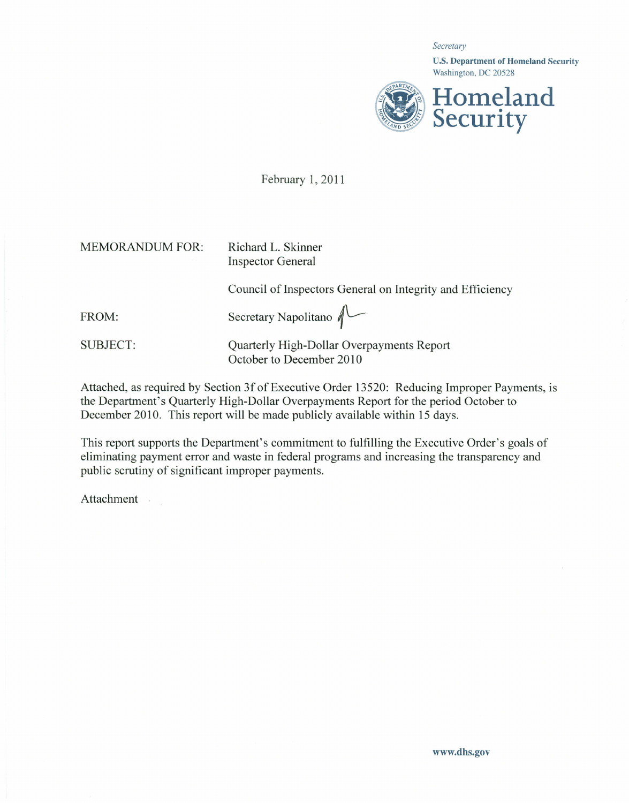*Secretary*

U.S. Department of Homeland Security Washington, DC 20528



February 1,2011

MEMORANDUM FOR: Richard L. Skinner

Inspector General

Council of Inspectors General on Integrity and Efficiency

FROM: Secretary Napolitano  $\bigwedge^{\mathbb{C}}$ 

SUBJECT: Quarterly High-Dollar Overpayments Repor October to December 2010

Attached, as required by Section 3f of Executive Order 13520: Reducing Improper Payments, is the Department's Quarterly High-Dollar Overpayments Report for the period October to December 2010. This report will be made publicly available within 15 days.

This report supports the Department's commitment to fulfilling the Executive Order's goals of eliminating payment error and waste in federal programs and increasing the transparency and public scrutiny of significant improper payments.

**Attachment**